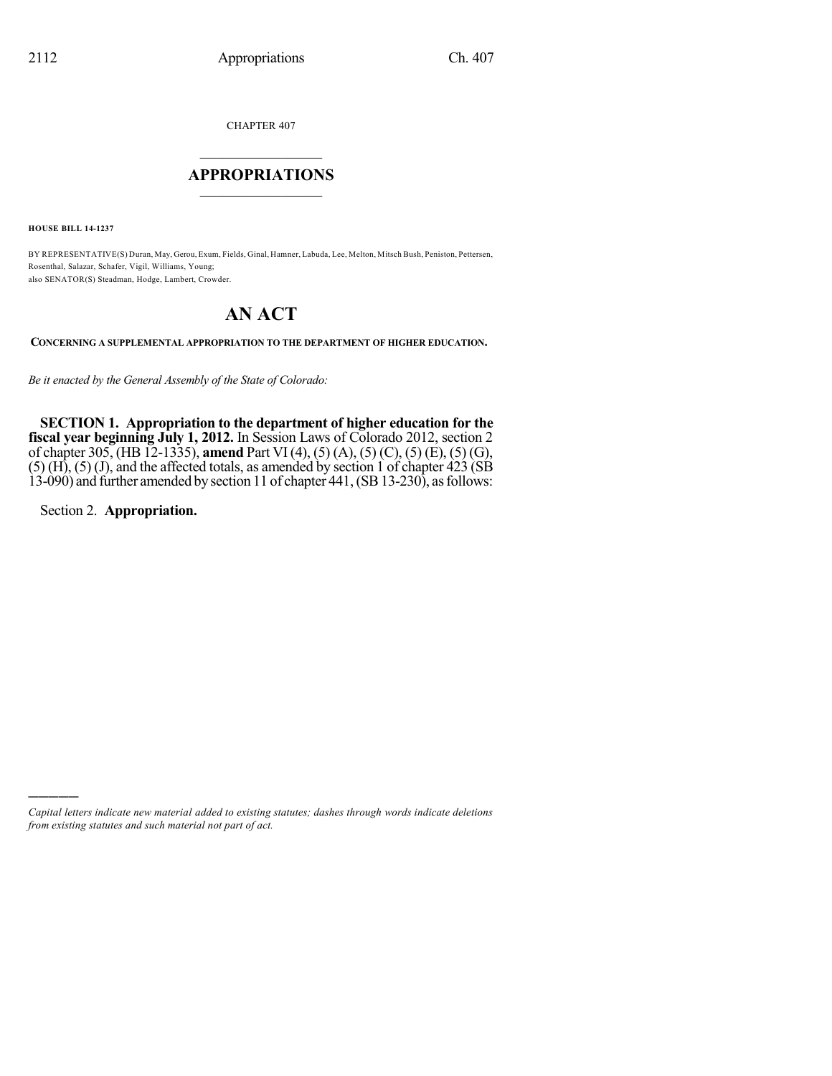CHAPTER 407

## $\overline{\phantom{a}}$  . The set of the set of the set of the set of the set of the set of the set of the set of the set of the set of the set of the set of the set of the set of the set of the set of the set of the set of the set o **APPROPRIATIONS**  $\_$   $\_$   $\_$   $\_$   $\_$   $\_$   $\_$   $\_$

**HOUSE BILL 14-1237**

BY REPRESENTATIVE(S) Duran, May, Gerou, Exum, Fields, Ginal, Hamner, Labuda, Lee, Melton, Mitsch Bush, Peniston, Pettersen, Rosenthal, Salazar, Schafer, Vigil, Williams, Young; also SENATOR(S) Steadman, Hodge, Lambert, Crowder.

# **AN ACT**

**CONCERNING A SUPPLEMENTAL APPROPRIATION TO THE DEPARTMENT OF HIGHER EDUCATION.**

*Be it enacted by the General Assembly of the State of Colorado:*

**SECTION 1. Appropriation to the department of higher education for the fiscal year beginning July 1, 2012.** In Session Laws of Colorado 2012, section 2 of chapter 305, (HB 12-1335), **amend** Part VI(4), (5) (A), (5) (C), (5) (E), (5) (G), (5) (H), (5) (J), and the affected totals, as amended by section 1 of chapter 423 (SB 13-090) and further amended bysection 11 of chapter 441,(SB13-230), asfollows:

Section 2. **Appropriation.**

)))))

*Capital letters indicate new material added to existing statutes; dashes through words indicate deletions from existing statutes and such material not part of act.*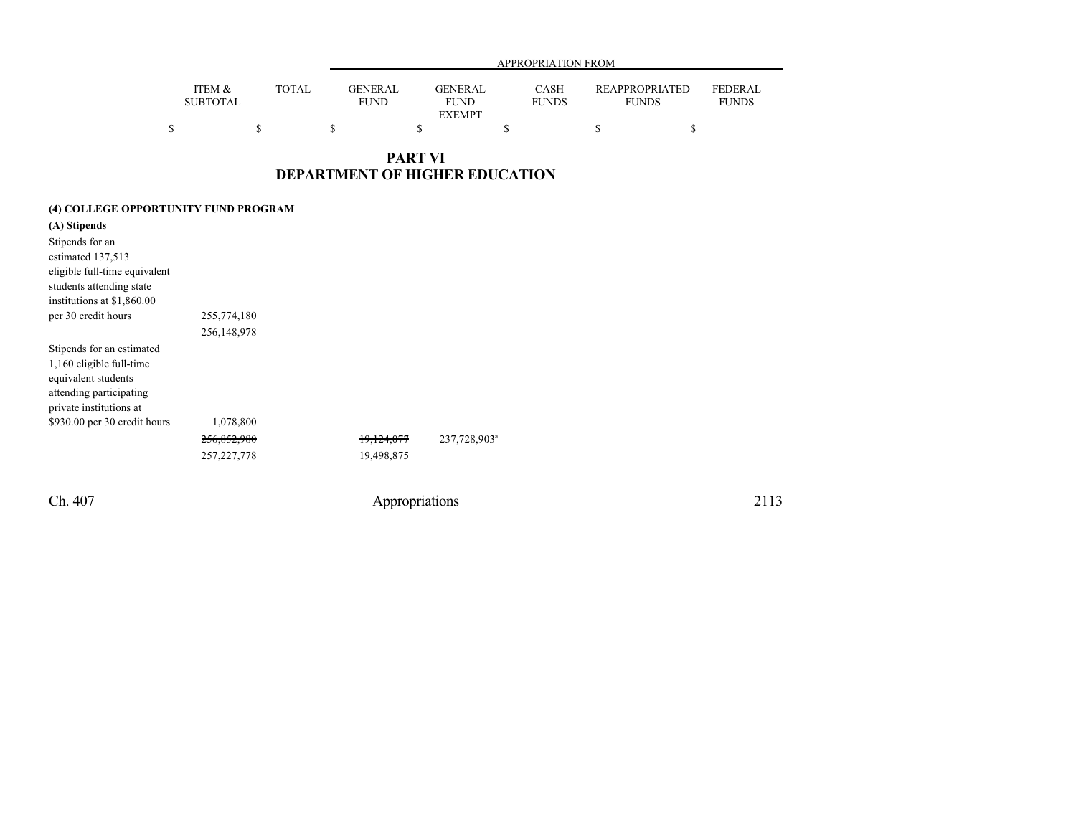|                           |              |                        | APPROPRIATION FROM            |                             |                                       |                                |  |  |
|---------------------------|--------------|------------------------|-------------------------------|-----------------------------|---------------------------------------|--------------------------------|--|--|
| ITEM &<br><b>SUBTOTAL</b> | <b>TOTAL</b> | GENERAL<br><b>FUND</b> | <b>GENERAL</b><br><b>FUND</b> | <b>CASH</b><br><b>FUNDS</b> | <b>REAPPROPRIATED</b><br><b>FUNDS</b> | <b>FEDERAL</b><br><b>FUNDS</b> |  |  |
|                           |              |                        | <b>EXEMPT</b>                 |                             |                                       |                                |  |  |
|                           |              |                        |                               |                             |                                       |                                |  |  |

**PART VI DEPARTMENT OF HIGHER EDUCATION**

|  |  | (4) COLLEGE OPPORTUNITY FUND PROGRAM |
|--|--|--------------------------------------|
|--|--|--------------------------------------|

| (A) Stipends                  |               |            |                          |
|-------------------------------|---------------|------------|--------------------------|
| Stipends for an               |               |            |                          |
| estimated 137,513             |               |            |                          |
| eligible full-time equivalent |               |            |                          |
| students attending state      |               |            |                          |
| institutions at \$1,860.00    |               |            |                          |
| per 30 credit hours           | 255,774,180   |            |                          |
|                               | 256,148,978   |            |                          |
| Stipends for an estimated     |               |            |                          |
| 1,160 eligible full-time      |               |            |                          |
| equivalent students           |               |            |                          |
| attending participating       |               |            |                          |
| private institutions at       |               |            |                          |
| \$930.00 per 30 credit hours  | 1,078,800     |            |                          |
|                               | 256,852,980   | 19,124,077 | 237,728,903 <sup>a</sup> |
|                               | 257, 227, 778 | 19,498,875 |                          |
|                               |               |            |                          |

Ch. 407 Appropriations 2113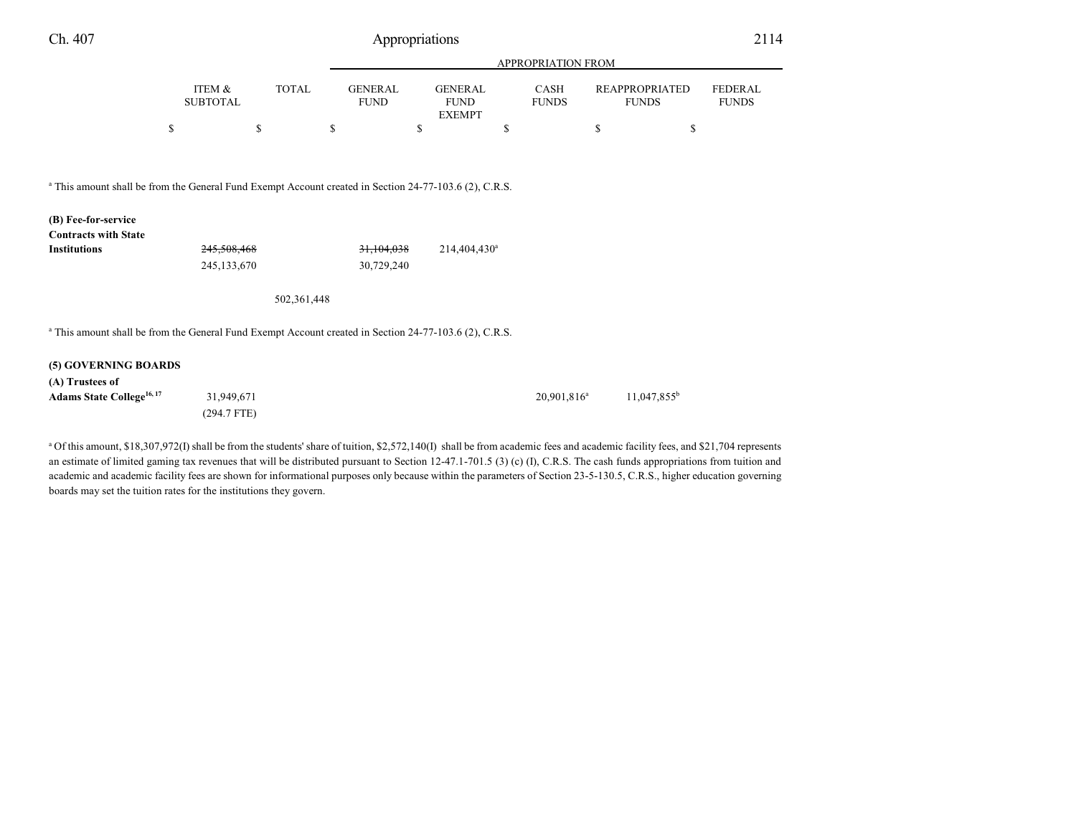### Ch. 407 Appropriations 2114

|                           |       | APPROPRIATION FROM            |                        |                             |                                |                                |  |
|---------------------------|-------|-------------------------------|------------------------|-----------------------------|--------------------------------|--------------------------------|--|
| ITEM &<br><b>SUBTOTAL</b> | TOTAL | <b>GENERAL</b><br><b>FUND</b> | GENERAL<br><b>FUND</b> | <b>CASH</b><br><b>FUNDS</b> | REAPPROPRIATED<br><b>FUNDS</b> | <b>FEDERAL</b><br><b>FUNDS</b> |  |
|                           |       |                               | <b>EXEMPT</b>          |                             |                                |                                |  |
|                           |       |                               |                        |                             |                                |                                |  |

a This amount shall be from the General Fund Exempt Account created in Section 24-77-103.6 (2), C.R.S.

#### **(B) Fee-for-service**

| <b>Contracts with State</b> |  |  |  |
|-----------------------------|--|--|--|
|-----------------------------|--|--|--|

| Institutions | 245,508,468 | <del>31,104,038</del> | 214,404,430 <sup>a</sup> |
|--------------|-------------|-----------------------|--------------------------|
|              | 245,133,670 | 30,729,240            |                          |

502,361,448

<sup>a</sup> This amount shall be from the General Fund Exempt Account created in Section 24-77-103.6 (2), C.R.S.

#### **(5) GOVERNING BOARDS**

| (A) Trustees of                              |               |                         |                      |
|----------------------------------------------|---------------|-------------------------|----------------------|
| <b>Adams State College</b> <sup>16, 17</sup> | 31,949,671    | 20,901,816 <sup>a</sup> | $11,047,855^{\rm b}$ |
|                                              | $(294.7$ FTE) |                         |                      |

<sup>a</sup> Of this amount, \$18,307,972(I) shall be from the students' share of tuition, \$2,572,140(I) shall be from academic fees and academic facility fees, and \$21,704 represents an estimate of limited gaming tax revenues that will be distributed pursuant to Section 12-47.1-701.5 (3) (c) (I), C.R.S. The cash funds appropriations from tuition and academic and academic facility fees are shown for informational purposes only because within the parameters of Section 23-5-130.5, C.R.S., higher education governing boards may set the tuition rates for the institutions they govern.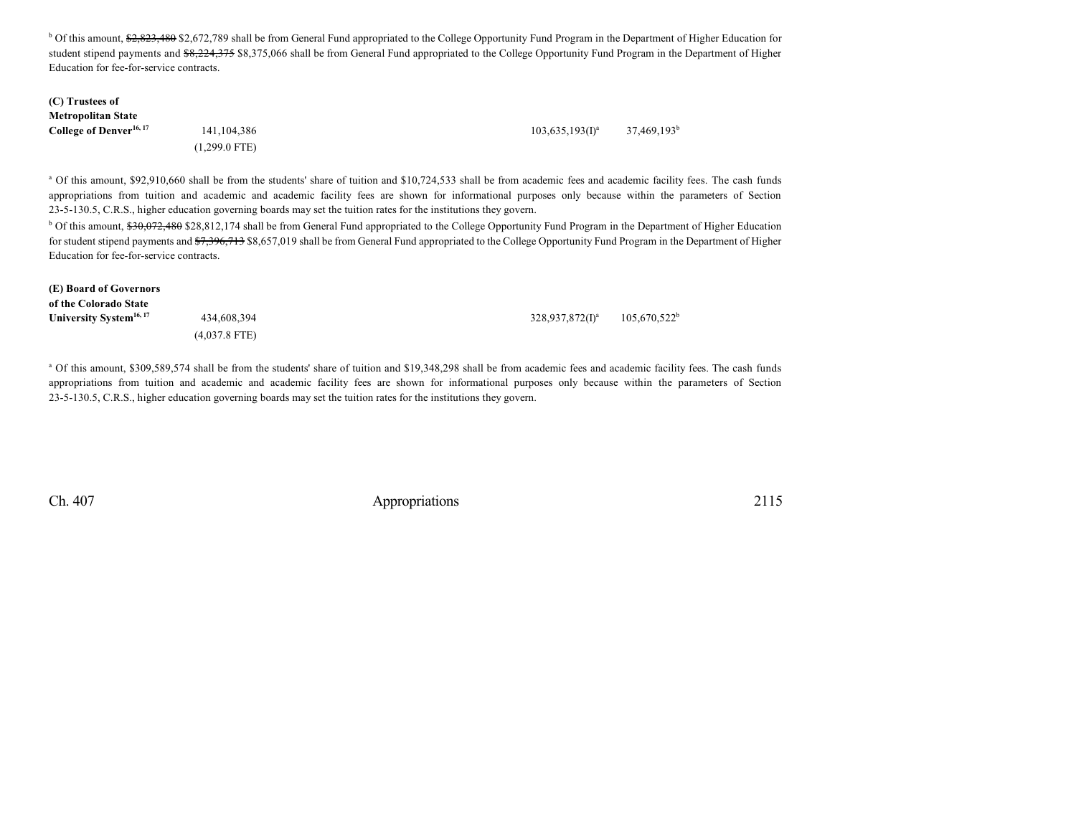<sup>b</sup> Of this amount, \$2,823,480 \$2,672,789 shall be from General Fund appropriated to the College Opportunity Fund Program in the Department of Higher Education for student stipend payments and \$8,224,375 \$8,375,066 shall be from General Fund appropriated to the College Opportunity Fund Program in the Department of Higher Education for fee-for-service contracts.

### **(C) Trustees of Metropolitan State College of Denver 16, 17**

(1,299.0 FTE)

 $141,104,386$   $103,635,193($ 37,469,193 b

<sup>a</sup> Of this amount, \$92,910,660 shall be from the students' share of tuition and \$10,724,533 shall be from academic fees and academic facility fees. The cash funds appropriations from tuition and academic and academic facility fees are shown for informational purposes only because within the parameters of Section 23-5-130.5, C.R.S., higher education governing boards may set the tuition rates for the institutions they govern.

<sup>b</sup> Of this amount, \$30,072,480 \$28,812,174 shall be from General Fund appropriated to the College Opportunity Fund Program in the Department of Higher Education for student stipend payments and \$7,396,713 \$8,657,019 shall be from General Fund appropriated to the College Opportunity Fund Program in the Department of Higher Education for fee-for-service contracts.

| (E) Board of Governors              |                 |                              |                 |
|-------------------------------------|-----------------|------------------------------|-----------------|
| of the Colorado State               |                 |                              |                 |
| University System <sup>16, 17</sup> | 434,608,394     | 328.937.872(D <sup>a</sup> ) | $105,670,522^b$ |
|                                     | $(4,037.8$ FTE) |                              |                 |

<sup>a</sup> Of this amount, \$309,589,574 shall be from the students' share of tuition and \$19,348,298 shall be from academic fees and academic facility fees. The cash funds appropriations from tuition and academic and academic facility fees are shown for informational purposes only because within the parameters of Section 23-5-130.5, C.R.S., higher education governing boards may set the tuition rates for the institutions they govern.

Ch. 407 Appropriations 2115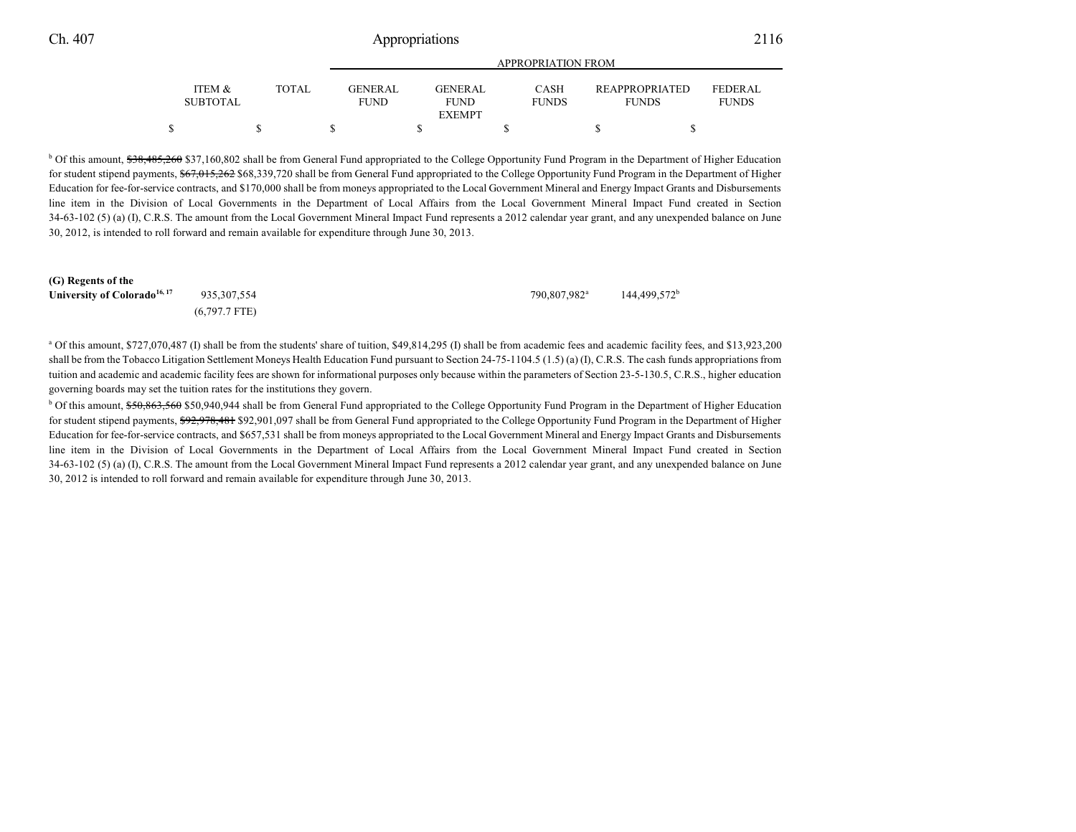### Ch. 407 Appropriations 2116

|                           |       | APPROPRIATION FROM             |  |                                |  |                             |  |                                       |                          |
|---------------------------|-------|--------------------------------|--|--------------------------------|--|-----------------------------|--|---------------------------------------|--------------------------|
| ITEM &<br><b>SUBTOTAL</b> | TOTAL | <b>GENER AL</b><br><b>FUND</b> |  | <b>GENER AL</b><br><b>FUND</b> |  | <b>CASH</b><br><b>FUNDS</b> |  | <b>REAPPROPRIATED</b><br><b>FUNDS</b> | FEDER AL<br><b>FUNDS</b> |
|                           |       |                                |  | <b>EXEMPT</b>                  |  |                             |  |                                       |                          |
|                           |       |                                |  |                                |  |                             |  |                                       |                          |

<sup>b</sup> Of this amount, \$38,485,260 \$37,160,802 shall be from General Fund appropriated to the College Opportunity Fund Program in the Department of Higher Education for student stipend payments, \$67,015,262 \$68,339,720 shall be from General Fund appropriated to the College Opportunity Fund Program in the Department of Higher Education for fee-for-service contracts, and \$170,000 shall be from moneys appropriated to the Local Government Mineral and Energy Impact Grants and Disbursements line item in the Division of Local Governments in the Department of Local Affairs from the Local Government Mineral Impact Fund created in Section 34-63-102 (5) (a) (I), C.R.S. The amount from the Local Government Mineral Impact Fund represents a 2012 calendar year grant, and any unexpended balance on June 30, 2012, is intended to roll forward and remain available for expenditure through June 30, 2013.

| (G) Regents of the                       |                 |              |                          |
|------------------------------------------|-----------------|--------------|--------------------------|
| University of Colorado <sup>16, 17</sup> | 935,307,554     | 790.807.982ª | 144,499.572 <sup>b</sup> |
|                                          | $(6.797.7$ FTE) |              |                          |

a Of this amount, \$727,070,487 (I) shall be from the students' share of tuition, \$49,814,295 (I) shall be from academic fees and academic facility fees, and \$13,923,200 shall be from the Tobacco Litigation Settlement Moneys Health Education Fund pursuant to Section 24-75-1104.5 (1.5) (a) (I), C.R.S. The cash funds appropriations from tuition and academic and academic facility fees are shown for informational purposes only because within the parameters of Section 23-5-130.5, C.R.S., higher education governing boards may set the tuition rates for the institutions they govern.

<sup>b</sup> Of this amount, \$50,863,560 \$50,940,944 shall be from General Fund appropriated to the College Opportunity Fund Program in the Department of Higher Education for student stipend payments, \$92,978,481 \$92,901,097 shall be from General Fund appropriated to the College Opportunity Fund Program in the Department of Higher Education for fee-for-service contracts, and \$657,531 shall be from moneys appropriated to the Local Government Mineral and Energy Impact Grants and Disbursements line item in the Division of Local Governments in the Department of Local Affairs from the Local Government Mineral Impact Fund created in Section 34-63-102 (5) (a) (I), C.R.S. The amount from the Local Government Mineral Impact Fund represents a 2012 calendar year grant, and any unexpended balance on June 30, 2012 is intended to roll forward and remain available for expenditure through June 30, 2013.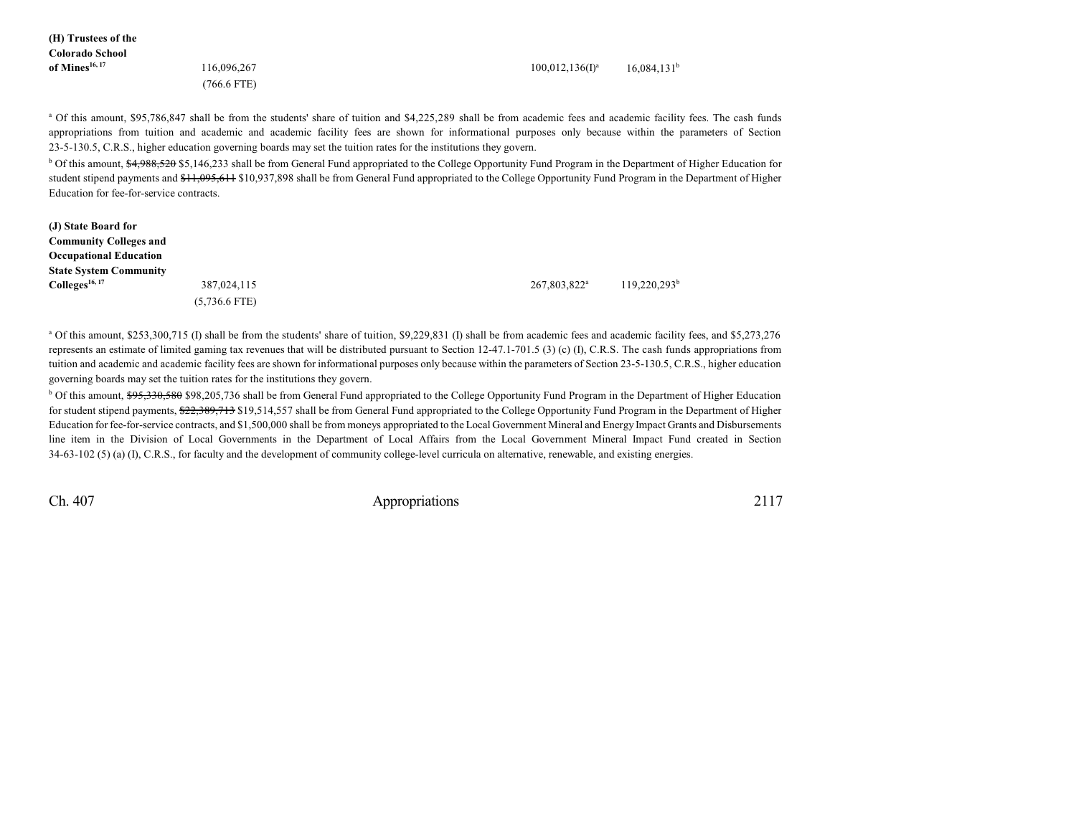| (H) Trustees of the        |             |                    |                |
|----------------------------|-------------|--------------------|----------------|
| Colorado School            |             |                    |                |
| of Mines <sup>16, 17</sup> | 116,096,267 | $100,012,136(I)^a$ | $16,084,131^b$ |
|                            | (766.6 FTE) |                    |                |
|                            |             |                    |                |
|                            |             |                    |                |

<sup>a</sup> Of this amount, \$95,786,847 shall be from the students' share of tuition and \$4,225,289 shall be from academic fees and academic facility fees. The cash funds appropriations from tuition and academic and academic facility fees are shown for informational purposes only because within the parameters of Section 23-5-130.5, C.R.S., higher education governing boards may set the tuition rates for the institutions they govern.

<sup>b</sup> Of this amount, \$4,988,520 \$5,146,233 shall be from General Fund appropriated to the College Opportunity Fund Program in the Department of Higher Education for student stipend payments and  $11,095,611$  \$10,937,898 shall be from General Fund appropriated to the College Opportunity Fund Program in the Department of Higher Education for fee-for-service contracts.

| (J) State Board for           |                 |                          |                 |
|-------------------------------|-----------------|--------------------------|-----------------|
| <b>Community Colleges and</b> |                 |                          |                 |
| <b>Occupational Education</b> |                 |                          |                 |
| <b>State System Community</b> |                 |                          |                 |
| $\text{Colleges}^{16, 17}$    | 387,024,115     | 267,803,822 <sup>a</sup> | $119.220.293^b$ |
|                               | $(5,736.6$ FTE) |                          |                 |

<sup>a</sup> Of this amount, \$253,300,715 (I) shall be from the students' share of tuition, \$9,229,831 (I) shall be from academic fees and academic facility fees, and \$5,273,276 represents an estimate of limited gaming tax revenues that will be distributed pursuant to Section 12-47.1-701.5 (3) (c) (I), C.R.S. The cash funds appropriations from tuition and academic and academic facility fees are shown for informational purposes only because within the parameters of Section 23-5-130.5, C.R.S., higher education governing boards may set the tuition rates for the institutions they govern.

<sup>b</sup> Of this amount, \$95,330,580 \$98,205,736 shall be from General Fund appropriated to the College Opportunity Fund Program in the Department of Higher Education for student stipend payments, \$22,389,713 \$19,514,557 shall be from General Fund appropriated to the College Opportunity Fund Program in the Department of Higher Education for fee-for-service contracts, and \$1,500,000 shall be from moneys appropriated to the Local Government Mineral and Energy Impact Grants and Disbursements line item in the Division of Local Governments in the Department of Local Affairs from the Local Government Mineral Impact Fund created in Section 34-63-102 (5) (a) (I), C.R.S., for faculty and the development of community college-level curricula on alternative, renewable, and existing energies.

Ch. 407 Appropriations 2117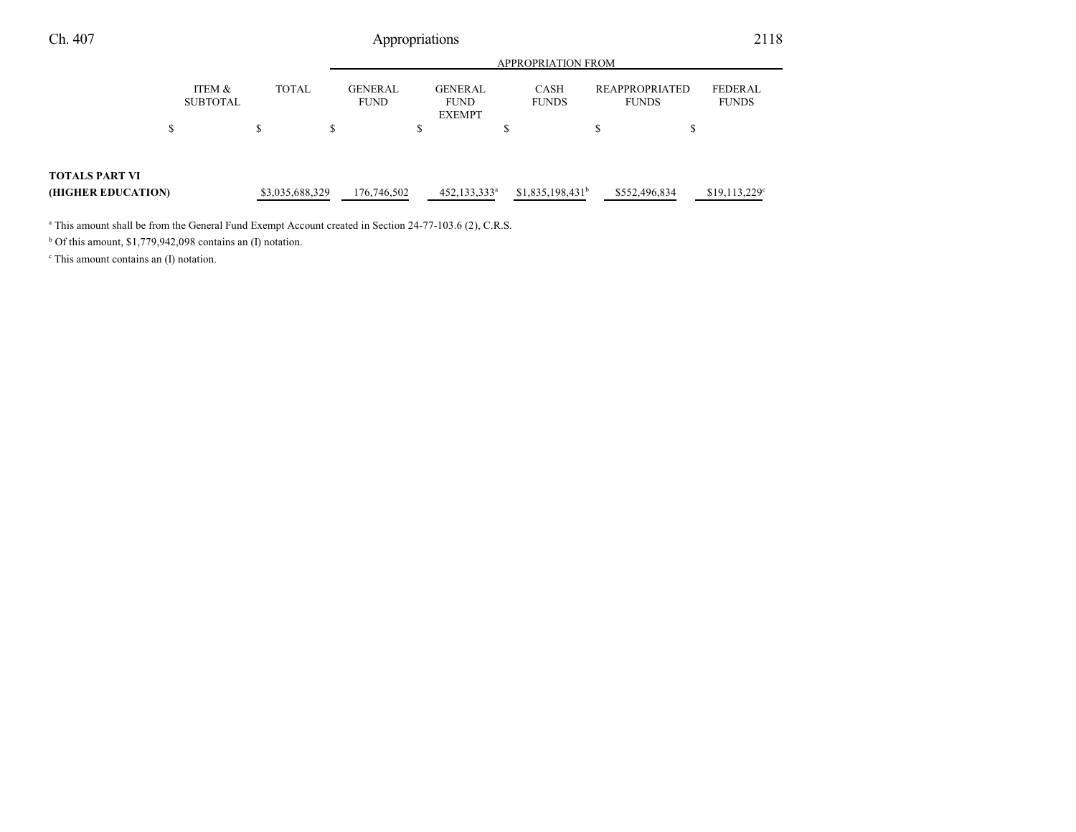| Ch. 407                                     | Appropriations            |                 |    |                               |    |                                                |    |                             |    |                                       | 2118                           |  |
|---------------------------------------------|---------------------------|-----------------|----|-------------------------------|----|------------------------------------------------|----|-----------------------------|----|---------------------------------------|--------------------------------|--|
|                                             | <b>APPROPRIATION FROM</b> |                 |    |                               |    |                                                |    |                             |    |                                       |                                |  |
|                                             | ITEM &<br><b>SUBTOTAL</b> | <b>TOTAL</b>    |    | <b>GENERAL</b><br><b>FUND</b> |    | <b>GENERAL</b><br><b>FUND</b><br><b>EXEMPT</b> |    | <b>CASH</b><br><b>FUNDS</b> |    | <b>REAPPROPRIATED</b><br><b>FUNDS</b> | <b>FEDERAL</b><br><b>FUNDS</b> |  |
| \$                                          |                           | \$              | \$ |                               | \$ |                                                | \$ |                             | \$ | \$                                    |                                |  |
| <b>TOTALS PART VI</b><br>(HIGHER EDUCATION) |                           | \$3,035,688,329 |    | 176,746,502                   |    | 452,133,333 <sup>a</sup>                       |    | $$1,835,198,431^b$          |    | \$552,496,834                         | \$19,113,229°                  |  |

a This amount shall be from the General Fund Exempt Account created in Section 24-77-103.6 (2), C.R.S.

b Of this amount, \$1,779,942,098 contains an (I) notation.

c This amount contains an (I) notation.